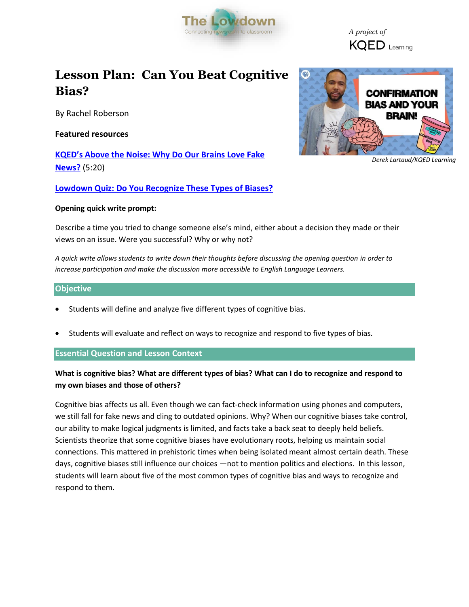

 *A project of* **KQED** Learning

# **Lesson Plan: Can You Beat Cognitive Bias?**

By Rachel Roberson

**Featured resources**

**KQED's A[bove the Noise: Why Do Our Brains Love Fake](https://www.youtube.com/watch?v=dNmwvntMF5A&t=193s)  [News?](https://www.youtube.com/watch?v=dNmwvntMF5A&t=193s)** (5:20)

**[Lowdown Quiz: Do You Recognize These Types of Biases?](https://ww2.kqed.org/lowdown/2017/05/09/confirmation-bias/)**

## **Opening quick write prompt:**

Describe a time you tried to change someone else's mind, either about a decision they made or their views on an issue. Were you successful? Why or why not?

*A quick write allows students to write down their thoughts before discussing the opening question in order to increase participation and make the discussion more accessible to English Language Learners.* 

# **Objective**

- Students will define and analyze five different types of cognitive bias.
- Students will evaluate and reflect on ways to recognize and respond to five types of bias.

**Essential Question and Lesson Context**

# **What is cognitive bias? What are different types of bias? What can I do to recognize and respond to my own biases and those of others?**

Cognitive bias affects us all. Even though we can fact-check information using phones and computers, we still fall for fake news and cling to outdated opinions. Why? When our cognitive biases take control, our ability to make logical judgments is limited, and facts take a back seat to deeply held beliefs. Scientists theorize that some cognitive biases have evolutionary roots, helping us maintain social connections. This mattered in prehistoric times when being isolated meant almost certain death. These days, cognitive biases still influence our choices —not to mention politics and elections. In this lesson, students will learn about five of the most common types of cognitive bias and ways to recognize and respond to them.



*Derek Lartaud/KQED Learning*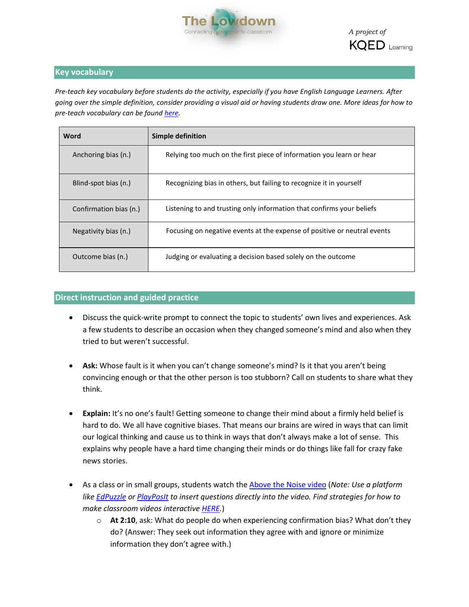

# **Key vocabulary**

*Pre-teach key vocabulary before students do the activity, especially if you have English Language Learners. After going over the simple definition, consider providing a visual aid or having students draw one. More ideas for how to pre-teach vocabulary can be found [here.](http://www.colorincolorado.org/article/vocabulary-development)* 

| Word                   | Simple definition                                                        |
|------------------------|--------------------------------------------------------------------------|
| Anchoring bias (n.)    | Relying too much on the first piece of information you learn or hear     |
| Blind-spot bias (n.)   | Recognizing bias in others, but failing to recognize it in yourself      |
| Confirmation bias (n.) | Listening to and trusting only information that confirms your beliefs    |
| Negativity bias (n.)   | Focusing on negative events at the expense of positive or neutral events |
| Outcome bias (n.)      | Judging or evaluating a decision based solely on the outcome             |

# **Direct instruction and guided practice**

- Discuss the quick-write prompt to connect the topic to students' own lives and experiences. Ask a few students to describe an occasion when they changed someone's mind and also when they tried to but weren't successful.
- **Ask:** Whose fault is it when you can't change someone's mind? Is it that you aren't being convincing enough or that the other person is too stubborn? Call on students to share what they think.
- **Explain:** It's no one's fault! Getting someone to change their mind about a firmly held belief is hard to do. We all have cognitive biases. That means our brains are wired in ways that can limit our logical thinking and cause us to think in ways that don't always make a lot of sense. This explains why people have a hard time changing their minds or do things like fall for crazy fake news stories.
- As a class or in small groups, students watch th[e Above the Noise video](https://www.youtube.com/watch?v=dNmwvntMF5A&t=199s) (*Note: Use a platform like [EdPuzzle](https://edpuzzle.com/) or [PlayPosIt](https://www.playposit.com/) to insert questions directly into the video. Find strategies for how to make classroom videos interactive [HERE.](https://ww2.kqed.org/learning/2016/08/23/watch-think-write-and-other-proven-strategies-for-using-video-in-the-classroom/)*)
	- o **At 2:10**, ask: What do people do when experiencing confirmation bias? What don't they do? (Answer: They seek out information they agree with and ignore or minimize information they don't agree with.)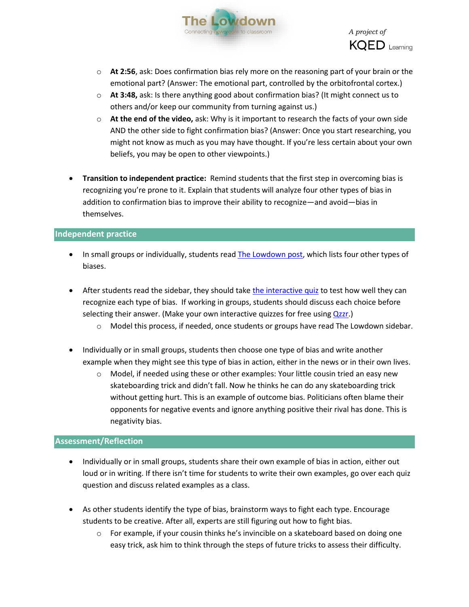



- o **At 2:56**, ask: Does confirmation bias rely more on the reasoning part of your brain or the emotional part? (Answer: The emotional part, controlled by the orbitofrontal cortex.)
- o **At 3:48,** ask: Is there anything good about confirmation bias? (It might connect us to others and/or keep our community from turning against us.)
- o **At the end of the video,** ask: Why is it important to research the facts of your own side AND the other side to fight confirmation bias? (Answer: Once you start researching, you might not know as much as you may have thought. If you're less certain about your own beliefs, you may be open to other viewpoints.)
- **Transition to independent practice:** Remind students that the first step in overcoming bias is recognizing you're prone to it. Explain that students will analyze four other types of bias in addition to confirmation bias to improve their ability to recognize—and avoid—bias in themselves.

## **Independent practice**

- In small groups or individually, students rea[d The Lowdown post,](https://ww2.kqed.org/lowdown/2017/05/09/confirmation-bias/) which lists four other types of biases.
- After students read the sidebar, they should take the [interactive](https://ww2.kqed.org/lowdown/2017/05/09/confirmation-bias/) quiz to test how well they can recognize each type of bias. If working in groups, students should discuss each choice before selecting their answer. (Make your own interactive quizzes for free using [Qzzr.](https://www.qzzr.com/))
	- o Model this process, if needed, once students or groups have read The Lowdown sidebar.
- Individually or in small groups, students then choose one type of bias and write another example when they might see this type of bias in action, either in the news or in their own lives.
	- $\circ$  Model, if needed using these or other examples: Your little cousin tried an easy new skateboarding trick and didn't fall. Now he thinks he can do any skateboarding trick without getting hurt. This is an example of outcome bias. Politicians often blame their opponents for negative events and ignore anything positive their rival has done. This is negativity bias.

## **Assessment/Reflection**

- Individually or in small groups, students share their own example of bias in action, either out loud or in writing. If there isn't time for students to write their own examples, go over each quiz question and discuss related examples as a class.
- As other students identify the type of bias, brainstorm ways to fight each type. Encourage students to be creative. After all, experts are still figuring out how to fight bias.
	- $\circ$  For example, if your cousin thinks he's invincible on a skateboard based on doing one easy trick, ask him to think through the steps of future tricks to assess their difficulty.